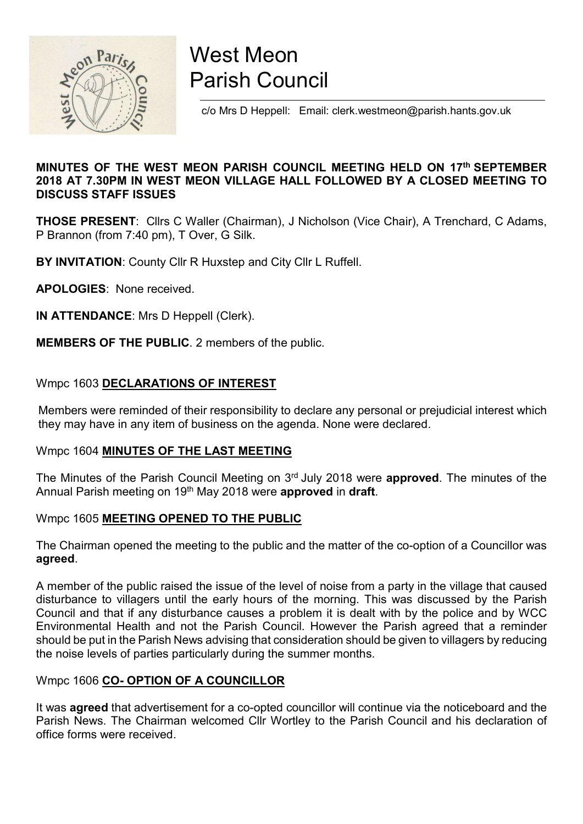

# West Meon Parish Council

c/o Mrs D Heppell: Email: clerk.westmeon@parish.hants.gov.uk

# MINUTES OF THE WEST MEON PARISH COUNCIL MEETING HELD ON 17th SEPTEMBER 2018 AT 7.30PM IN WEST MEON VILLAGE HALL FOLLOWED BY A CLOSED MEETING TO DISCUSS STAFF ISSUES

THOSE PRESENT: Cllrs C Waller (Chairman), J Nicholson (Vice Chair), A Trenchard, C Adams, P Brannon (from 7:40 pm), T Over, G Silk.

BY INVITATION: County Cllr R Huxstep and City Cllr L Ruffell.

APOLOGIES: None received.

IN ATTENDANCE: Mrs D Heppell (Clerk).

MEMBERS OF THE PUBLIC. 2 members of the public.

# Wmpc 1603 DECLARATIONS OF INTEREST

 Members were reminded of their responsibility to declare any personal or prejudicial interest which they may have in any item of business on the agenda. None were declared.

# Wmpc 1604 MINUTES OF THE LAST MEETING

The Minutes of the Parish Council Meeting on 3<sup>rd</sup> July 2018 were **approved**. The minutes of the Annual Parish meeting on 19<sup>th</sup> May 2018 were **approved** in draft.

# Wmpc 1605 MEETING OPENED TO THE PUBLIC

The Chairman opened the meeting to the public and the matter of the co-option of a Councillor was agreed.

A member of the public raised the issue of the level of noise from a party in the village that caused disturbance to villagers until the early hours of the morning. This was discussed by the Parish Council and that if any disturbance causes a problem it is dealt with by the police and by WCC Environmental Health and not the Parish Council. However the Parish agreed that a reminder should be put in the Parish News advising that consideration should be given to villagers by reducing the noise levels of parties particularly during the summer months.

# Wmpc 1606 CO- OPTION OF A COUNCILLOR

It was agreed that advertisement for a co-opted councillor will continue via the noticeboard and the Parish News. The Chairman welcomed Cllr Wortley to the Parish Council and his declaration of office forms were received.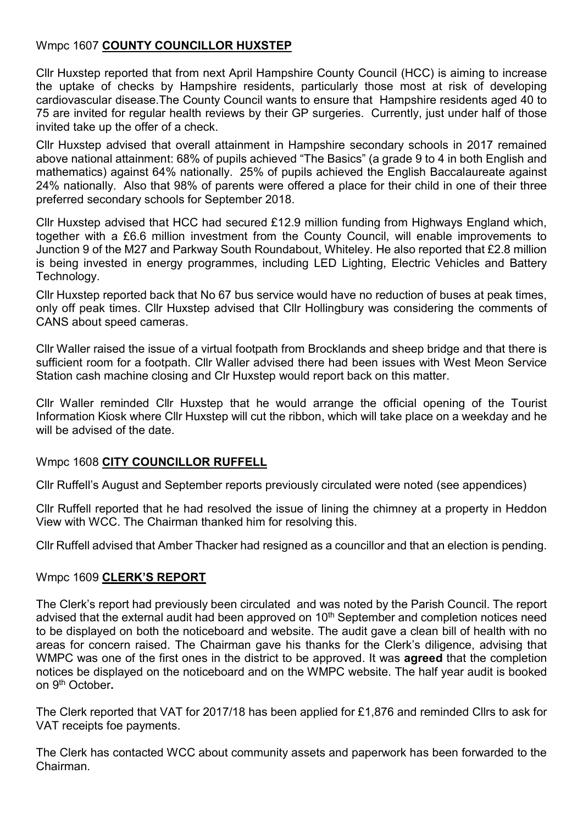# Wmpc 1607 COUNTY COUNCILLOR HUXSTEP

Cllr Huxstep reported that from next April Hampshire County Council (HCC) is aiming to increase the uptake of checks by Hampshire residents, particularly those most at risk of developing cardiovascular disease.The County Council wants to ensure that Hampshire residents aged 40 to 75 are invited for regular health reviews by their GP surgeries. Currently, just under half of those invited take up the offer of a check.

Cllr Huxstep advised that overall attainment in Hampshire secondary schools in 2017 remained above national attainment: 68% of pupils achieved "The Basics" (a grade 9 to 4 in both English and mathematics) against 64% nationally. 25% of pupils achieved the English Baccalaureate against 24% nationally. Also that 98% of parents were offered a place for their child in one of their three preferred secondary schools for September 2018.

Cllr Huxstep advised that HCC had secured £12.9 million funding from Highways England which, together with a £6.6 million investment from the County Council, will enable improvements to Junction 9 of the M27 and Parkway South Roundabout, Whiteley. He also reported that £2.8 million is being invested in energy programmes, including LED Lighting, Electric Vehicles and Battery Technology.

Cllr Huxstep reported back that No 67 bus service would have no reduction of buses at peak times, only off peak times. Cllr Huxstep advised that Cllr Hollingbury was considering the comments of CANS about speed cameras.

Cllr Waller raised the issue of a virtual footpath from Brocklands and sheep bridge and that there is sufficient room for a footpath. Cllr Waller advised there had been issues with West Meon Service Station cash machine closing and Clr Huxstep would report back on this matter.

Cllr Waller reminded Cllr Huxstep that he would arrange the official opening of the Tourist Information Kiosk where Cllr Huxstep will cut the ribbon, which will take place on a weekday and he will be advised of the date.

# Wmpc 1608 CITY COUNCILLOR RUFFELL

Cllr Ruffell's August and September reports previously circulated were noted (see appendices)

Cllr Ruffell reported that he had resolved the issue of lining the chimney at a property in Heddon View with WCC. The Chairman thanked him for resolving this.

Cllr Ruffell advised that Amber Thacker had resigned as a councillor and that an election is pending.

# Wmpc 1609 CLERK'S REPORT

The Clerk's report had previously been circulated and was noted by the Parish Council. The report advised that the external audit had been approved on  $10<sup>th</sup>$  September and completion notices need to be displayed on both the noticeboard and website. The audit gave a clean bill of health with no areas for concern raised. The Chairman gave his thanks for the Clerk's diligence, advising that WMPC was one of the first ones in the district to be approved. It was **agreed** that the completion notices be displayed on the noticeboard and on the WMPC website. The half year audit is booked on 9<sup>th</sup> October.

The Clerk reported that VAT for 2017/18 has been applied for £1,876 and reminded Cllrs to ask for VAT receipts foe payments.

The Clerk has contacted WCC about community assets and paperwork has been forwarded to the Chairman.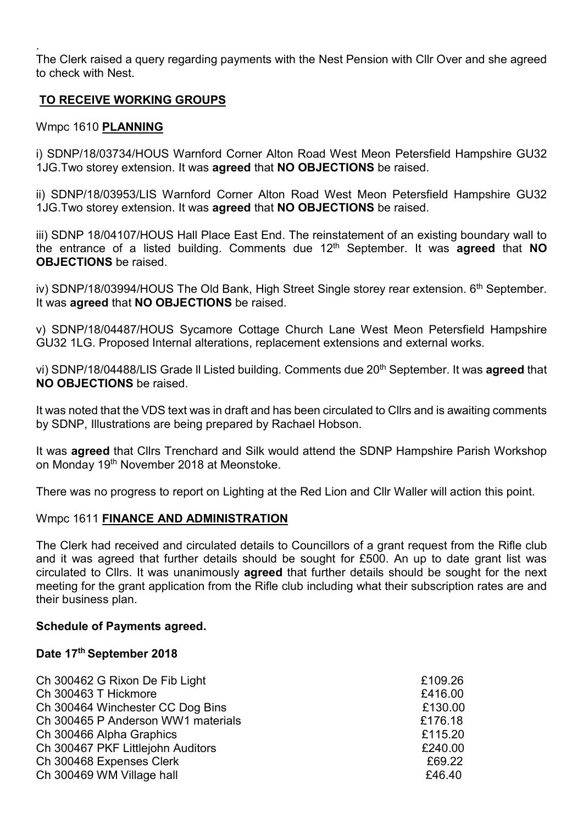. The Clerk raised a query regarding payments with the Nest Pension with Cllr Over and she agreed to check with Nest.

# TO RECEIVE WORKING GROUPS

# Wmpc 1610 PLANNING

i) SDNP/18/03734/HOUS Warnford Corner Alton Road West Meon Petersfield Hampshire GU32 1JG.Two storey extension. It was agreed that NO OBJECTIONS be raised.

ii) SDNP/18/03953/LIS Warnford Corner Alton Road West Meon Petersfield Hampshire GU32 1JG. Two storey extension. It was agreed that NO OBJECTIONS be raised.

iii) SDNP 18/04107/HOUS Hall Place East End. The reinstatement of an existing boundary wall to the entrance of a listed building. Comments due  $12<sup>th</sup>$  September. It was **agreed** that **NO** OBJECTIONS be raised.

iv) SDNP/18/03994/HOUS The Old Bank, High Street Single storey rear extension.  $6<sup>th</sup>$  September. It was **agreed** that **NO OBJECTIONS** be raised.

v) SDNP/18/04487/HOUS Sycamore Cottage Church Lane West Meon Petersfield Hampshire GU32 1LG. Proposed Internal alterations, replacement extensions and external works.

vi) SDNP/18/04488/LIS Grade II Listed building. Comments due 20<sup>th</sup> September. It was **agreed** that NO OBJECTIONS be raised.

It was noted that the VDS text was in draft and has been circulated to Cllrs and is awaiting comments by SDNP, Illustrations are being prepared by Rachael Hobson.

It was **agreed** that Clirs Trenchard and Silk would attend the SDNP Hampshire Parish Workshop on Monday 19th November 2018 at Meonstoke.

There was no progress to report on Lighting at the Red Lion and Cllr Waller will action this point.

# Wmpc 1611 FINANCE AND ADMINISTRATION

The Clerk had received and circulated details to Councillors of a grant request from the Rifle club and it was agreed that further details should be sought for £500. An up to date grant list was circulated to Cllrs. It was unanimously agreed that further details should be sought for the next meeting for the grant application from the Rifle club including what their subscription rates are and their business plan.

#### Schedule of Payments agreed.

#### Date 17th September 2018

| Ch 300462 G Rixon De Fib Light     | £109.26 |
|------------------------------------|---------|
| Ch 300463 T Hickmore               | £416.00 |
| Ch 300464 Winchester CC Dog Bins   | £130.00 |
| Ch 300465 P Anderson WW1 materials | £176.18 |
| Ch 300466 Alpha Graphics           | £115.20 |
| Ch 300467 PKF Littlejohn Auditors  | £240.00 |
| Ch 300468 Expenses Clerk           | £69.22  |
| Ch 300469 WM Village hall          | £46.40  |
|                                    |         |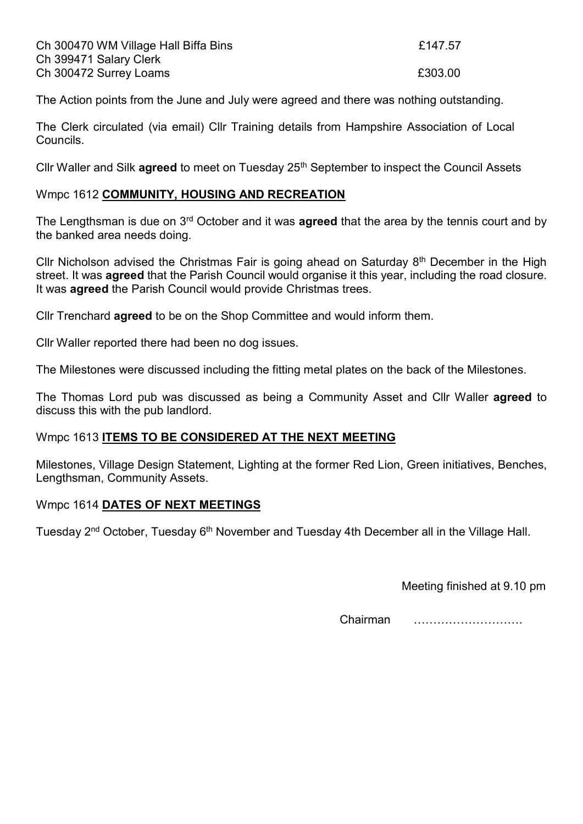| Ch 300470 WM Village Hall Biffa Bins | £147.57 |
|--------------------------------------|---------|
| Ch 399471 Salary Clerk               |         |
| Ch 300472 Surrey Loams               | £303.00 |

The Action points from the June and July were agreed and there was nothing outstanding.

The Clerk circulated (via email) Cllr Training details from Hampshire Association of Local Councils.

Cllr Waller and Silk **agreed** to meet on Tuesday 25<sup>th</sup> September to inspect the Council Assets

#### Wmpc 1612 COMMUNITY, HOUSING AND RECREATION

The Lengthsman is due on 3<sup>rd</sup> October and it was **agreed** that the area by the tennis court and by the banked area needs doing.

Cllr Nicholson advised the Christmas Fair is going ahead on Saturday 8th December in the High street. It was **agreed** that the Parish Council would organise it this year, including the road closure. It was **agreed** the Parish Council would provide Christmas trees.

Cllr Trenchard agreed to be on the Shop Committee and would inform them.

Cllr Waller reported there had been no dog issues.

The Milestones were discussed including the fitting metal plates on the back of the Milestones.

The Thomas Lord pub was discussed as being a Community Asset and Cllr Waller **agreed** to discuss this with the pub landlord.

# Wmpc 1613 ITEMS TO BE CONSIDERED AT THE NEXT MEETING

Milestones, Village Design Statement, Lighting at the former Red Lion, Green initiatives, Benches, Lengthsman, Community Assets.

# Wmpc 1614 DATES OF NEXT MEETINGS

Tuesday 2<sup>nd</sup> October, Tuesday 6<sup>th</sup> November and Tuesday 4th December all in the Village Hall.

Meeting finished at 9.10 pm

Chairman ……………………….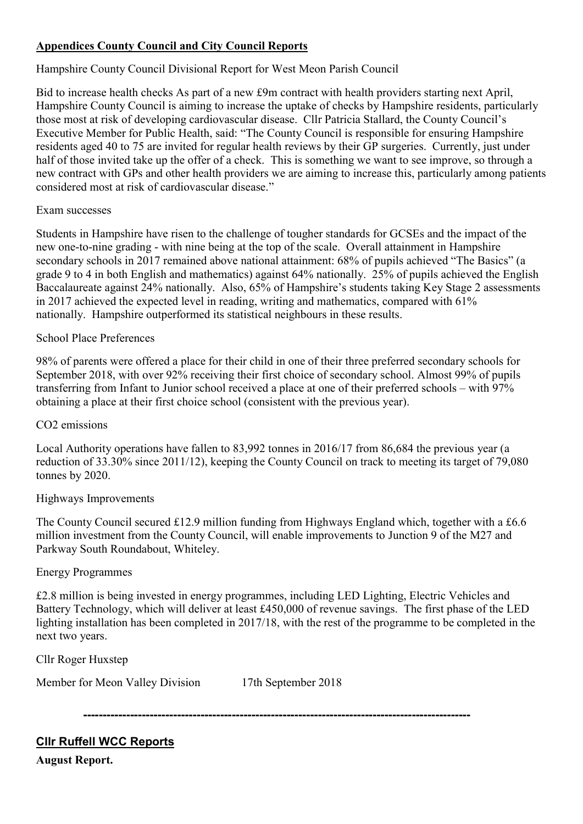# Appendices County Council and City Council Reports

# Hampshire County Council Divisional Report for West Meon Parish Council

Bid to increase health checks As part of a new £9m contract with health providers starting next April, Hampshire County Council is aiming to increase the uptake of checks by Hampshire residents, particularly those most at risk of developing cardiovascular disease. Cllr Patricia Stallard, the County Council's Executive Member for Public Health, said: "The County Council is responsible for ensuring Hampshire residents aged 40 to 75 are invited for regular health reviews by their GP surgeries. Currently, just under half of those invited take up the offer of a check. This is something we want to see improve, so through a new contract with GPs and other health providers we are aiming to increase this, particularly among patients considered most at risk of cardiovascular disease."

# Exam successes

Students in Hampshire have risen to the challenge of tougher standards for GCSEs and the impact of the new one-to-nine grading - with nine being at the top of the scale. Overall attainment in Hampshire secondary schools in 2017 remained above national attainment: 68% of pupils achieved "The Basics" (a grade 9 to 4 in both English and mathematics) against 64% nationally. 25% of pupils achieved the English Baccalaureate against 24% nationally. Also, 65% of Hampshire's students taking Key Stage 2 assessments in 2017 achieved the expected level in reading, writing and mathematics, compared with 61% nationally. Hampshire outperformed its statistical neighbours in these results.

# School Place Preferences

98% of parents were offered a place for their child in one of their three preferred secondary schools for September 2018, with over 92% receiving their first choice of secondary school. Almost 99% of pupils transferring from Infant to Junior school received a place at one of their preferred schools – with 97% obtaining a place at their first choice school (consistent with the previous year).

# CO2 emissions

Local Authority operations have fallen to 83,992 tonnes in 2016/17 from 86,684 the previous year (a reduction of 33.30% since 2011/12), keeping the County Council on track to meeting its target of 79,080 tonnes by 2020.

# Highways Improvements

The County Council secured £12.9 million funding from Highways England which, together with a £6.6 million investment from the County Council, will enable improvements to Junction 9 of the M27 and Parkway South Roundabout, Whiteley.

# Energy Programmes

£2.8 million is being invested in energy programmes, including LED Lighting, Electric Vehicles and Battery Technology, which will deliver at least £450,000 of revenue savings. The first phase of the LED lighting installation has been completed in 2017/18, with the rest of the programme to be completed in the next two years.

Cllr Roger Huxstep

Member for Meon Valley Division 17th September 2018

---------------------------------------------------------------------------------------------------

Cllr Ruffell WCC Reports

August Report.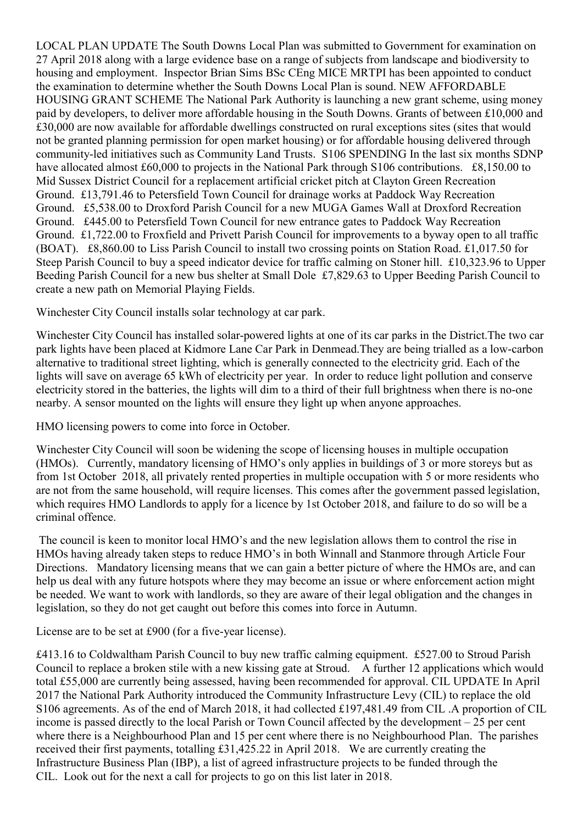LOCAL PLAN UPDATE The South Downs Local Plan was submitted to Government for examination on 27 April 2018 along with a large evidence base on a range of subjects from landscape and biodiversity to housing and employment. Inspector Brian Sims BSc CEng MICE MRTPI has been appointed to conduct the examination to determine whether the South Downs Local Plan is sound. NEW AFFORDABLE HOUSING GRANT SCHEME The National Park Authority is launching a new grant scheme, using money paid by developers, to deliver more affordable housing in the South Downs. Grants of between £10,000 and £30,000 are now available for affordable dwellings constructed on rural exceptions sites (sites that would not be granted planning permission for open market housing) or for affordable housing delivered through community-led initiatives such as Community Land Trusts. S106 SPENDING In the last six months SDNP have allocated almost £60,000 to projects in the National Park through S106 contributions. £8,150.00 to Mid Sussex District Council for a replacement artificial cricket pitch at Clayton Green Recreation Ground. £13,791.46 to Petersfield Town Council for drainage works at Paddock Way Recreation Ground. £5,538.00 to Droxford Parish Council for a new MUGA Games Wall at Droxford Recreation Ground. £445.00 to Petersfield Town Council for new entrance gates to Paddock Way Recreation Ground. £1,722.00 to Froxfield and Privett Parish Council for improvements to a byway open to all traffic (BOAT). £8,860.00 to Liss Parish Council to install two crossing points on Station Road. £1,017.50 for Steep Parish Council to buy a speed indicator device for traffic calming on Stoner hill. £10,323.96 to Upper Beeding Parish Council for a new bus shelter at Small Dole £7,829.63 to Upper Beeding Parish Council to create a new path on Memorial Playing Fields.

Winchester City Council installs solar technology at car park.

Winchester City Council has installed solar-powered lights at one of its car parks in the District.The two car park lights have been placed at Kidmore Lane Car Park in Denmead.They are being trialled as a low-carbon alternative to traditional street lighting, which is generally connected to the electricity grid. Each of the lights will save on average 65 kWh of electricity per year. In order to reduce light pollution and conserve electricity stored in the batteries, the lights will dim to a third of their full brightness when there is no-one nearby. A sensor mounted on the lights will ensure they light up when anyone approaches.

HMO licensing powers to come into force in October.

Winchester City Council will soon be widening the scope of licensing houses in multiple occupation (HMOs). Currently, mandatory licensing of HMO's only applies in buildings of 3 or more storeys but as from 1st October 2018, all privately rented properties in multiple occupation with 5 or more residents who are not from the same household, will require licenses. This comes after the government passed legislation, which requires HMO Landlords to apply for a licence by 1st October 2018, and failure to do so will be a criminal offence.

 The council is keen to monitor local HMO's and the new legislation allows them to control the rise in HMOs having already taken steps to reduce HMO's in both Winnall and Stanmore through Article Four Directions. Mandatory licensing means that we can gain a better picture of where the HMOs are, and can help us deal with any future hotspots where they may become an issue or where enforcement action might be needed. We want to work with landlords, so they are aware of their legal obligation and the changes in legislation, so they do not get caught out before this comes into force in Autumn.

License are to be set at £900 (for a five-year license).

£413.16 to Coldwaltham Parish Council to buy new traffic calming equipment. £527.00 to Stroud Parish Council to replace a broken stile with a new kissing gate at Stroud. A further 12 applications which would total £55,000 are currently being assessed, having been recommended for approval. CIL UPDATE In April 2017 the National Park Authority introduced the Community Infrastructure Levy (CIL) to replace the old S106 agreements. As of the end of March 2018, it had collected £197,481.49 from CIL .A proportion of CIL income is passed directly to the local Parish or Town Council affected by the development – 25 per cent where there is a Neighbourhood Plan and 15 per cent where there is no Neighbourhood Plan. The parishes received their first payments, totalling £31,425.22 in April 2018. We are currently creating the Infrastructure Business Plan (IBP), a list of agreed infrastructure projects to be funded through the CIL. Look out for the next a call for projects to go on this list later in 2018.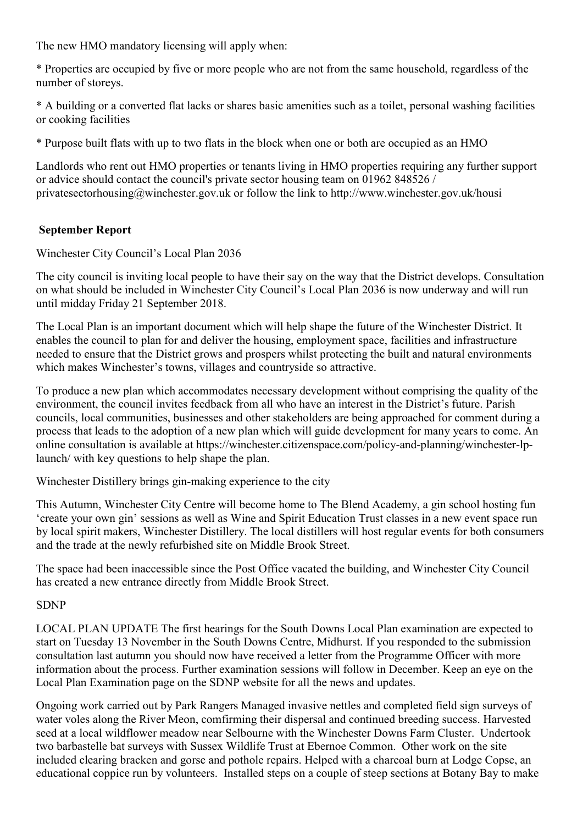The new HMO mandatory licensing will apply when:

\* Properties are occupied by five or more people who are not from the same household, regardless of the number of storeys.

\* A building or a converted flat lacks or shares basic amenities such as a toilet, personal washing facilities or cooking facilities

\* Purpose built flats with up to two flats in the block when one or both are occupied as an HMO

Landlords who rent out HMO properties or tenants living in HMO properties requiring any further support or advice should contact the council's private sector housing team on 01962 848526 / privatesectorhousing@winchester.gov.uk or follow the link to http://www.winchester.gov.uk/housi

# September Report

Winchester City Council's Local Plan 2036

The city council is inviting local people to have their say on the way that the District develops. Consultation on what should be included in Winchester City Council's Local Plan 2036 is now underway and will run until midday Friday 21 September 2018.

The Local Plan is an important document which will help shape the future of the Winchester District. It enables the council to plan for and deliver the housing, employment space, facilities and infrastructure needed to ensure that the District grows and prospers whilst protecting the built and natural environments which makes Winchester's towns, villages and countryside so attractive.

To produce a new plan which accommodates necessary development without comprising the quality of the environment, the council invites feedback from all who have an interest in the District's future. Parish councils, local communities, businesses and other stakeholders are being approached for comment during a process that leads to the adoption of a new plan which will guide development for many years to come. An online consultation is available at https://winchester.citizenspace.com/policy-and-planning/winchester-lplaunch/ with key questions to help shape the plan.

Winchester Distillery brings gin-making experience to the city

This Autumn, Winchester City Centre will become home to The Blend Academy, a gin school hosting fun 'create your own gin' sessions as well as Wine and Spirit Education Trust classes in a new event space run by local spirit makers, Winchester Distillery. The local distillers will host regular events for both consumers and the trade at the newly refurbished site on Middle Brook Street.

The space had been inaccessible since the Post Office vacated the building, and Winchester City Council has created a new entrance directly from Middle Brook Street.

# **SDNP**

LOCAL PLAN UPDATE The first hearings for the South Downs Local Plan examination are expected to start on Tuesday 13 November in the South Downs Centre, Midhurst. If you responded to the submission consultation last autumn you should now have received a letter from the Programme Officer with more information about the process. Further examination sessions will follow in December. Keep an eye on the Local Plan Examination page on the SDNP website for all the news and updates.

Ongoing work carried out by Park Rangers Managed invasive nettles and completed field sign surveys of water voles along the River Meon, comfirming their dispersal and continued breeding success. Harvested seed at a local wildflower meadow near Selbourne with the Winchester Downs Farm Cluster. Undertook two barbastelle bat surveys with Sussex Wildlife Trust at Ebernoe Common. Other work on the site included clearing bracken and gorse and pothole repairs. Helped with a charcoal burn at Lodge Copse, an educational coppice run by volunteers. Installed steps on a couple of steep sections at Botany Bay to make